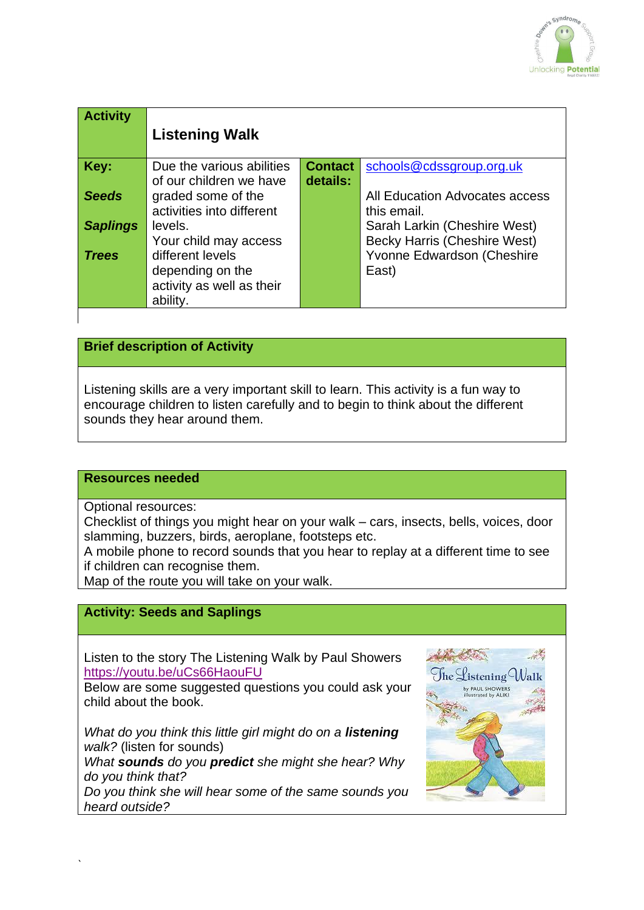

| <b>Activity</b> | <b>Listening Walk</b>     |                |                                     |
|-----------------|---------------------------|----------------|-------------------------------------|
| Key:            | Due the various abilities | <b>Contact</b> | schools@cdssgroup.org.uk            |
|                 | of our children we have   | details:       |                                     |
| <b>Seeds</b>    | graded some of the        |                | All Education Advocates access      |
|                 | activities into different |                | this email.                         |
| <b>Saplings</b> | levels.                   |                | Sarah Larkin (Cheshire West)        |
|                 | Your child may access     |                | <b>Becky Harris (Cheshire West)</b> |
| <b>Trees</b>    | different levels          |                | Yvonne Edwardson (Cheshire          |
|                 | depending on the          |                | East)                               |
|                 | activity as well as their |                |                                     |
|                 | ability.                  |                |                                     |

### **Brief description of Activity**

Listening skills are a very important skill to learn. This activity is a fun way to encourage children to listen carefully and to begin to think about the different sounds they hear around them.

#### **Resources needed**

Optional resources:

`

Checklist of things you might hear on your walk – cars, insects, bells, voices, door slamming, buzzers, birds, aeroplane, footsteps etc.

A mobile phone to record sounds that you hear to replay at a different time to see if children can recognise them.

Map of the route you will take on your walk.

# **Activity: Seeds and Saplings**

Listen to the story The Listening Walk by Paul Showers <https://youtu.be/uCs66HaouFU>

Below are some suggested questions you could ask your child about the book.

*What do you think this little girl might do on a listening walk?* (listen for sounds)

*What sounds do you predict she might she hear? Why do you think that?*

• *Do you think she will hear some of the same sounds you heard outside?*

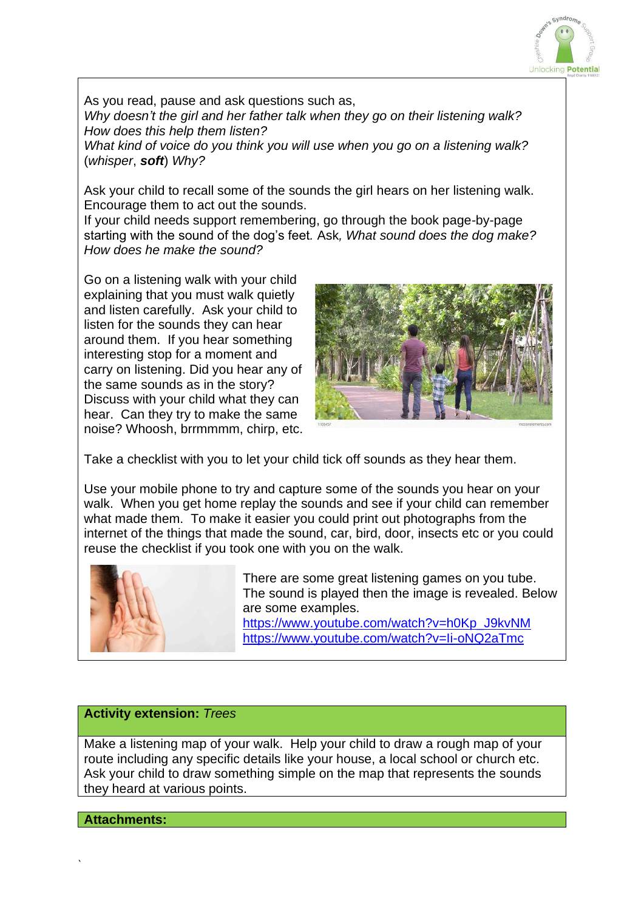

As you read, pause and ask questions such as, • *Why doesn't the girl and her father talk when they go on their listening walk?*  • *How does this help them listen?*  • *What kind of voice do you think you will use when you go on a listening walk?* 

(*whisper*, *soft*) *Why?*

Ask your child to recall some of the sounds the girl hears on her listening walk. Encourage them to act out the sounds.

If your child needs support remembering, go through the book page-by-page starting with the sound of the dog's feet*.* Ask*, What sound does the dog make? How does he make the sound?*

Go on a listening walk with your child explaining that you must walk quietly and listen carefully. Ask your child to listen for the sounds they can hear around them. If you hear something interesting stop for a moment and carry on listening. Did you hear any of the same sounds as in the story? Discuss with your child what they can hear. Can they try to make the same noise? Whoosh, brrmmmm, chirp, etc.



Take a checklist with you to let your child tick off sounds as they hear them.

Use your mobile phone to try and capture some of the sounds you hear on your walk. When you get home replay the sounds and see if your child can remember what made them. To make it easier you could print out photographs from the internet of the things that made the sound, car, bird, door, insects etc or you could reuse the checklist if you took one with you on the walk.



There are some great listening games on you tube. The sound is played then the image is revealed. Below are some examples.

[https://www.youtube.com/watch?v=h0Kp\\_J9kvNM](https://www.youtube.com/watch?v=h0Kp_J9kvNM) <https://www.youtube.com/watch?v=Ii-oNQ2aTmc>

## **Activity extension:** *Trees*

Make a listening map of your walk. Help your child to draw a rough map of your route including any specific details like your house, a local school or church etc. Ask your child to draw something simple on the map that represents the sounds they heard at various points.

#### **Attachments:**

`